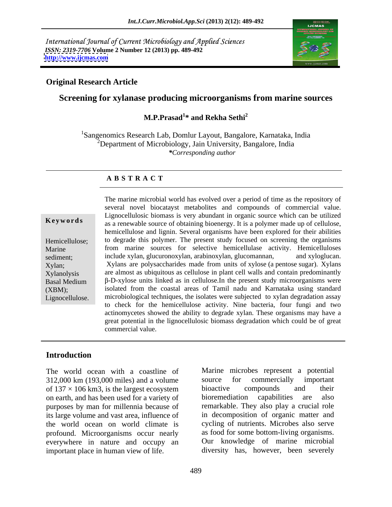International Journal of Current Microbiology and Applied Sciences *ISSN: 2319-7706* **Volume 2 Number 12 (2013) pp. 489-492 <http://www.ijcmas.com>**



# **Original Research Article**

# **Screening for xylanase producing microorganisms from marine sources**

### **M.P.Prasad<sup>1</sup> \* and Rekha Sethi<sup>2</sup>**

<sup>1</sup>Sangenomics Research Lab, Domlur Layout, Bangalore, Karnataka, India  $2^2$ Department of Microbiology, Jain University, Bangalore, India *\*Corresponding author* 

### **A B S T R A C T**

**Keywords**as a renewable source of obtaining bioenergy. It is a polymer made up of cellulose, Hemicellulose; to degrade this polymer. The present study focused on screening the organisms Marine from marine sources for selective hemicellulase activity. Hemicelluloses sediment; include xylan, glucuronoxylan, arabinoxylan, glucomannan, and xyloglucan. Xylan; Xylans are polysaccharides made from units of xylose (a pentose sugar). Xylans Xylanolysis are almost as ubiquitous as cellulose in plant cell walls and contain predominantly Basal Medium  $\beta$ -D-xylose units linked as in cellulose. In the present study microorganisms were (XBM); isolated from the coastal areas of Tamil nadu and Karnataka using standard Lignocellulose. microbiological techniques, the isolates were subjected to xylan degradation assay The marine microbial world has evolved over a period of time as the repository of several novel biocatayst metabolites and compounds of commercial value. Lignocellulosic biomass is very abundant in organic source which can be utilized hemicellulose and lignin. Several organisms have been explored for their abilities include xylan, glucuronoxylan, arabinoxylan, glucomannan, and xyloglucan. Xylans are polysaccharides made from units of xylose (a pentose sugar). Xylans to check for the hemicellulose activity. Nine bacteria, four fungi and two actinomycetes showed the ability to degrade xylan. These organisms may have a great potential in the lignocellulosic biomass degradation which could be of great commercial value.

## **Introduction**

312,000 km (193,000 miles) and a volume source for commercially important of  $137 \times 106$  km3, is the largest ecosystem bioactive compounds and their on earth, and has been used for a variety of bioremediation capabilities are also purposes by man for millennia because of its large volume and vast area, influence of the world ocean on world climate is profound. Microorganisms occur nearly everywhere in nature and occupy an important place in human view of life. diversity has, however, been severely

The world ocean with a coastline of Marine microbes represent a potential source for commercially important bioactive compounds and their bioremediation capabilities are also remarkable. They also play a crucial role in decomposition of organic matter and cycling of nutrients. Microbes also serve as food for some bottom-living organisms. Our knowledge of marine microbial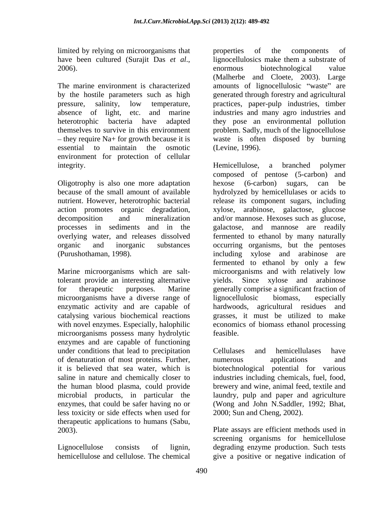limited by relying on microorganisms that properties of the components of

by the hostile parameters such as high environment for protection of cellular integrity. The example of the Hemicellulose, a branched polymer

Oligotrophy is also one more adaptation hexose (6-carbon) sugars, can be

microorganisms have a diverse range of lignocellulosic biomass, especially microorganisms possess many hydrolytic enzymes and are capable of functioning under conditions that lead to precipitation Cellulases and hemicellulases have of denaturation of most proteins. Further, it is believed that sea water, which is saline in nature and chemically closer to industries including chemicals, fuel, food, the human blood plasma, could provide brewery and wine, animal feed, textile and microbial products, in particular the laundry, pulp and paper and agriculture enzymes, that could be safer having no or less toxicity or side effects when used for therapeutic applications to humans (Sabu,

hemicellulose and cellulose. The chemical give a positive or negative indication of

have been cultured (Surajit Das *et al.*, lignocellulosics make them a substrate of enormous biotechnological value The marine environment is characterized amounts of lignocellulosic "waste" are pressure, salinity, low temperature, practices, paper-pulp industries, timber absence of light, etc. and marine industries and many agro industries and heterotrophic bacteria have adapted they pose an environmental pollution themselves to survive in this environment problem. Sadly, much of the lignocellulose they require Na+ for growth because it is waste is often disposed by burning essential to maintain the osmotic (Levine, 1996). properties of the components of lignocellulosics make them a substrate of enormous biotechnological value (Malherbe and Cloete, 2003). Large generated through forestry and agricultural (Levine, 1996).

because of the small amount of available hydrolyzed by hemicellulases or acids to nutrient. However, heterotrophic bacterial release its component sugars, including action promotes organic degradation, xylose, arabinose, galactose, glucose decomposition and mineralization and/or mannose. Hexoses such as glucose, processes in sediments and in the galactose, and mannose are readily overlying water, and releases dissolved fermented to ethanol by many naturally organic and inorganic substances occurring organisms, but the pentoses (Purushothaman, 1998). including xylose and arabinose are Marine microorganisms which are salt-microorganisms and with relatively low tolerant provide an interesting alternative yields. Since xylose and arabinose for therapeutic purposes. Marine generally comprise a significant fraction of enzymatic activity and are capable of hardwoods, agricultural residues and catalysing various biochemical reactions grasses, it must be utilized to make with novel enzymes. Especially, halophilic economics of biomass ethanol processing Hemicellulose, a branched polymer composed of pentose (5-carbon) and hexose (6-carbon) sugars, can be fermented to ethanol by only a few lignocellulosic biomass, especially feasible.

> Cellulases and hemicellulases have numerous applications and biotechnological potential for various (Wong and John N.Saddler, 1992; Bhat, 2000; Sun and Cheng, 2002).

2003). Plate assays are efficient methods used in Lignocellulose consists of lignin, degrading enzyme production. Such tests screening organisms for hemicellulose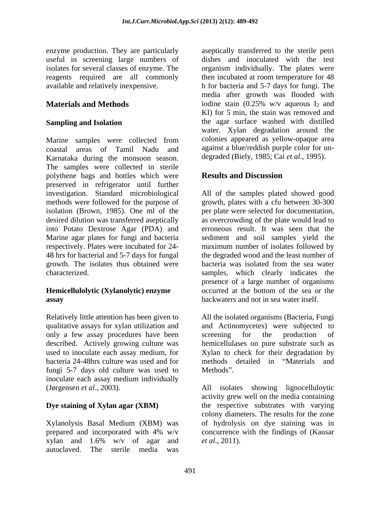enzyme production. They are particularly

Marine samples were collected from coastal areas of Tamil Nadu and against a blue/reddish purple color for un- Karnataka during the monsoon season. The samples were collected in sterile polythene bags and bottles which were **Results and Discussion** preserved in refrigerator until further investigation. Standard microbiological All of the samples plated showed good methods were followed for the purpose of growth, plates with a cfu between 30-300 isolation (Brown, 1985). One ml of the per plate were selected for documentation, desired dilution was transferred aseptically as overcrowding of the plate would lead to into Potato Dextrose Agar (PDA) and Marine agar plates for fungi and bacteria sediment and soil samples yield the respectively. Plates were incubated for 24-<br>48 hrs for bacterial and 5-7 days for fungal the degraded wood and the least number of growth. The isolates thus obtained were bacteria was isolated from the sea water characterized. samples, which clearly indicates the

only a few assay procedures have been screening for the production of used to inoculate each assay medium, for bacteria 24-48hrs culture was used and for fungi 5-7 days old culture was used to Methods". inoculate each assay medium individually

Xylanolysis Basal Medium (XBM) was xylan and  $1.6\%$  w/v of agar and  $et al., 2011$ . autoclaved. The sterile media was

useful in screening large numbers of dishes and inoculated with the test isolates for several classes of enzyme. The organism individually. The plates were reagents required are all commonly then incubated at room temperature for 48 available and relatively inexpensive. h for bacteria and 5-7 days for fungi. The **Materials and Methods** iodine stain (0.25% w/v aqueous I<sub>2</sub> and **Sampling and Isolation Sampling and Isolation Sampling and Isolation Example 2** is the agar surface washed with distilled aseptically transferred to the sterile petri media after growth was flooded with iodine stain (0.25% w/v aqueous  $I_2$  and KI) for 5 min, the stain was removed and the agar surface washed with distilled water. Xylan degradation around the colonies appeared as yellow-opaque area degraded (Biely, 1985; Cai *et al*., 1995).

# **Results and Discussion**

**Hemicellulolytic (Xylanolytic) enzyme** occurred at the bottom of the sea or the **assay** backwaters and not in sea water itself. erroneous result. It was seen that the maximum number of isolates followed by the degraded wood and the least number of presence of a large number of organisms occurred at the bottom of the sea or the

Relatively little attention has been given to All the isolated organisms (Bacteria, Fungi qualitative assays for xylan utilization and and Actinomycetes) were subjected to described. Actively growing culture was hemicellulases on pure substrate such as screening for the production of Xylan to check for their degradation by methods detailed in "Materials and Methods".

(Jørgensen *et al*., 2003). All isolates showing lignocelluloytic **Dye staining of Xylan agar (XBM)** the respective substrates with varying prepared and incorporated with 4% w/v concurrence with the findings of (Kausar activity grew well on the media containing colony diameters. The results for the zone of hydrolysis on dye staining was in concurrence with the findings of (Kausar *et al*., 2011).